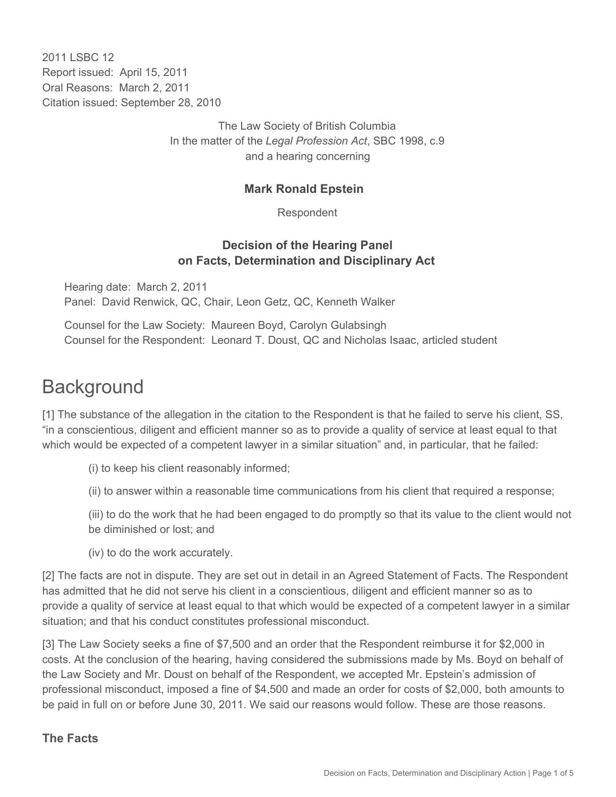2011 I SBC 12 Report issued: April 15, 2011 Oral Reasons: March 2, 2011 Citation issued: September 28, 2010

> The Law Society of British Columbia In the matter of the *Legal Profession Act*, SBC 1998, c.9 and a hearing concerning

#### **Mark Ronald Epstein**

Respondent

#### **Decision of the Hearing Panel on Facts, Determination and Disciplinary Act**

Hearing date: March 2, 2011 Panel: David Renwick, QC, Chair, Leon Getz, QC, Kenneth Walker

Counsel for the Law Society: Maureen Boyd, Carolyn Gulabsingh Counsel for the Respondent: Leonard T. Doust, QC and Nicholas Isaac, articled student

# **Background**

[1] The substance of the allegation in the citation to the Respondent is that he failed to serve his client, SS, "in a conscientious, diligent and efficient manner so as to provide a quality of service at least equal to that which would be expected of a competent lawyer in a similar situation" and, in particular, that he failed:

(i) to keep his client reasonably informed;

(ii) to answer within a reasonable time communications from his client that required a response;

(iii) to do the work that he had been engaged to do promptly so that its value to the client would not be diminished or lost; and

(iv) to do the work accurately.

[2] The facts are not in dispute. They are set out in detail in an Agreed Statement of Facts. The Respondent has admitted that he did not serve his client in a conscientious, diligent and efficient manner so as to provide a quality of service at least equal to that which would be expected of a competent lawyer in a similar situation; and that his conduct constitutes professional misconduct.

[3] The Law Society seeks a fine of \$7,500 and an order that the Respondent reimburse it for \$2,000 in costs. At the conclusion of the hearing, having considered the submissions made by Ms. Boyd on behalf of the Law Society and Mr. Doust on behalf of the Respondent, we accepted Mr. Epstein's admission of professional misconduct, imposed a fine of \$4,500 and made an order for costs of \$2,000, both amounts to be paid in full on or before June 30, 2011. We said our reasons would follow. These are those reasons.

### **The Facts**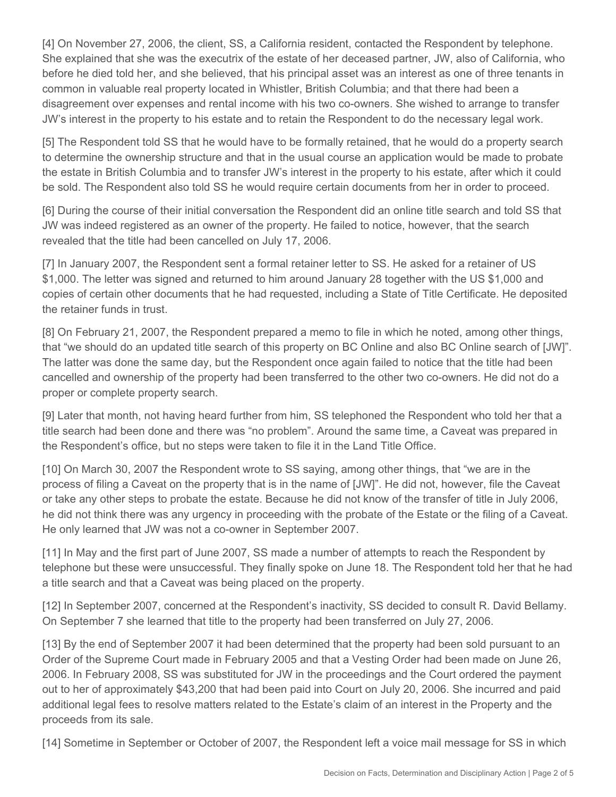[4] On November 27, 2006, the client, SS, a California resident, contacted the Respondent by telephone. She explained that she was the executrix of the estate of her deceased partner, JW, also of California, who before he died told her, and she believed, that his principal asset was an interest as one of three tenants in common in valuable real property located in Whistler, British Columbia; and that there had been a disagreement over expenses and rental income with his two co-owners. She wished to arrange to transfer JW's interest in the property to his estate and to retain the Respondent to do the necessary legal work.

[5] The Respondent told SS that he would have to be formally retained, that he would do a property search to determine the ownership structure and that in the usual course an application would be made to probate the estate in British Columbia and to transfer JW's interest in the property to his estate, after which it could be sold. The Respondent also told SS he would require certain documents from her in order to proceed.

[6] During the course of their initial conversation the Respondent did an online title search and told SS that JW was indeed registered as an owner of the property. He failed to notice, however, that the search revealed that the title had been cancelled on July 17, 2006.

[7] In January 2007, the Respondent sent a formal retainer letter to SS. He asked for a retainer of US \$1,000. The letter was signed and returned to him around January 28 together with the US \$1,000 and copies of certain other documents that he had requested, including a State of Title Certificate. He deposited the retainer funds in trust.

[8] On February 21, 2007, the Respondent prepared a memo to file in which he noted, among other things, that "we should do an updated title search of this property on BC Online and also BC Online search of [JW]". The latter was done the same day, but the Respondent once again failed to notice that the title had been cancelled and ownership of the property had been transferred to the other two co-owners. He did not do a proper or complete property search.

[9] Later that month, not having heard further from him, SS telephoned the Respondent who told her that a title search had been done and there was "no problem". Around the same time, a Caveat was prepared in the Respondent's office, but no steps were taken to file it in the Land Title Office.

[10] On March 30, 2007 the Respondent wrote to SS saying, among other things, that "we are in the process of filing a Caveat on the property that is in the name of [JW]". He did not, however, file the Caveat or take any other steps to probate the estate. Because he did not know of the transfer of title in July 2006, he did not think there was any urgency in proceeding with the probate of the Estate or the filing of a Caveat. He only learned that JW was not a co-owner in September 2007.

[11] In May and the first part of June 2007, SS made a number of attempts to reach the Respondent by telephone but these were unsuccessful. They finally spoke on June 18. The Respondent told her that he had a title search and that a Caveat was being placed on the property.

[12] In September 2007, concerned at the Respondent's inactivity, SS decided to consult R. David Bellamy. On September 7 she learned that title to the property had been transferred on July 27, 2006.

[13] By the end of September 2007 it had been determined that the property had been sold pursuant to an Order of the Supreme Court made in February 2005 and that a Vesting Order had been made on June 26, 2006. In February 2008, SS was substituted for JW in the proceedings and the Court ordered the payment out to her of approximately \$43,200 that had been paid into Court on July 20, 2006. She incurred and paid additional legal fees to resolve matters related to the Estate's claim of an interest in the Property and the proceeds from its sale.

[14] Sometime in September or October of 2007, the Respondent left a voice mail message for SS in which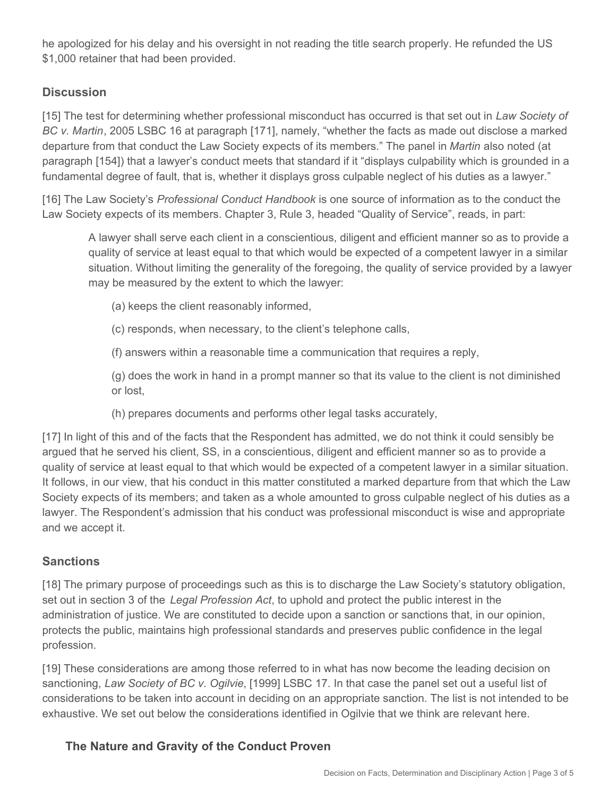he apologized for his delay and his oversight in not reading the title search properly. He refunded the US \$1,000 retainer that had been provided.

## **Discussion**

[15] The test for determining whether professional misconduct has occurred is that set out in *Law Society of BC v. Martin*, 2005 LSBC 16 at paragraph [171], namely, "whether the facts as made out disclose a marked departure from that conduct the Law Society expects of its members." The panel in *Martin* also noted (at paragraph [154]) that a lawyer's conduct meets that standard if it "displays culpability which is grounded in a fundamental degree of fault, that is, whether it displays gross culpable neglect of his duties as a lawyer."

[16] The Law Society's *Professional Conduct Handbook* is one source of information as to the conduct the Law Society expects of its members. Chapter 3, Rule 3, headed "Quality of Service", reads, in part:

A lawyer shall serve each client in a conscientious, diligent and efficient manner so as to provide a quality of service at least equal to that which would be expected of a competent lawyer in a similar situation. Without limiting the generality of the foregoing, the quality of service provided by a lawyer may be measured by the extent to which the lawyer:

- (a) keeps the client reasonably informed,
- (c) responds, when necessary, to the client's telephone calls,
- (f) answers within a reasonable time a communication that requires a reply,

(g) does the work in hand in a prompt manner so that its value to the client is not diminished or lost,

(h) prepares documents and performs other legal tasks accurately,

[17] In light of this and of the facts that the Respondent has admitted, we do not think it could sensibly be argued that he served his client, SS, in a conscientious, diligent and efficient manner so as to provide a quality of service at least equal to that which would be expected of a competent lawyer in a similar situation. It follows, in our view, that his conduct in this matter constituted a marked departure from that which the Law Society expects of its members; and taken as a whole amounted to gross culpable neglect of his duties as a lawyer. The Respondent's admission that his conduct was professional misconduct is wise and appropriate and we accept it.

### **Sanctions**

[18] The primary purpose of proceedings such as this is to discharge the Law Society's statutory obligation, set out in section 3 of the *Legal Profession Act*, to uphold and protect the public interest in the administration of justice. We are constituted to decide upon a sanction or sanctions that, in our opinion, protects the public, maintains high professional standards and preserves public confidence in the legal profession.

[19] These considerations are among those referred to in what has now become the leading decision on sanctioning, *Law Society of BC v. Ogilvie*, [1999] LSBC 17. In that case the panel set out a useful list of considerations to be taken into account in deciding on an appropriate sanction. The list is not intended to be exhaustive. We set out below the considerations identified in Ogilvie that we think are relevant here.

# **The Nature and Gravity of the Conduct Proven**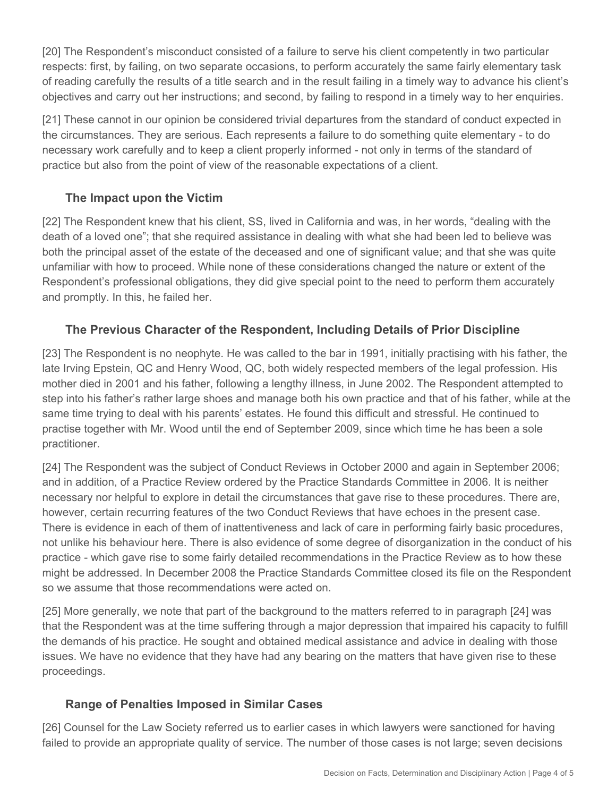[20] The Respondent's misconduct consisted of a failure to serve his client competently in two particular respects: first, by failing, on two separate occasions, to perform accurately the same fairly elementary task of reading carefully the results of a title search and in the result failing in a timely way to advance his client's objectives and carry out her instructions; and second, by failing to respond in a timely way to her enquiries.

[21] These cannot in our opinion be considered trivial departures from the standard of conduct expected in the circumstances. They are serious. Each represents a failure to do something quite elementary - to do necessary work carefully and to keep a client properly informed - not only in terms of the standard of practice but also from the point of view of the reasonable expectations of a client.

# **The Impact upon the Victim**

[22] The Respondent knew that his client, SS, lived in California and was, in her words, "dealing with the death of a loved one"; that she required assistance in dealing with what she had been led to believe was both the principal asset of the estate of the deceased and one of significant value; and that she was quite unfamiliar with how to proceed. While none of these considerations changed the nature or extent of the Respondent's professional obligations, they did give special point to the need to perform them accurately and promptly. In this, he failed her.

# **The Previous Character of the Respondent, Including Details of Prior Discipline**

[23] The Respondent is no neophyte. He was called to the bar in 1991, initially practising with his father, the late Irving Epstein, QC and Henry Wood, QC, both widely respected members of the legal profession. His mother died in 2001 and his father, following a lengthy illness, in June 2002. The Respondent attempted to step into his father's rather large shoes and manage both his own practice and that of his father, while at the same time trying to deal with his parents' estates. He found this difficult and stressful. He continued to practise together with Mr. Wood until the end of September 2009, since which time he has been a sole practitioner.

[24] The Respondent was the subject of Conduct Reviews in October 2000 and again in September 2006; and in addition, of a Practice Review ordered by the Practice Standards Committee in 2006. It is neither necessary nor helpful to explore in detail the circumstances that gave rise to these procedures. There are, however, certain recurring features of the two Conduct Reviews that have echoes in the present case. There is evidence in each of them of inattentiveness and lack of care in performing fairly basic procedures, not unlike his behaviour here. There is also evidence of some degree of disorganization in the conduct of his practice - which gave rise to some fairly detailed recommendations in the Practice Review as to how these might be addressed. In December 2008 the Practice Standards Committee closed its file on the Respondent so we assume that those recommendations were acted on.

[25] More generally, we note that part of the background to the matters referred to in paragraph [24] was that the Respondent was at the time suffering through a major depression that impaired his capacity to fulfill the demands of his practice. He sought and obtained medical assistance and advice in dealing with those issues. We have no evidence that they have had any bearing on the matters that have given rise to these proceedings.

### **Range of Penalties Imposed in Similar Cases**

[26] Counsel for the Law Society referred us to earlier cases in which lawyers were sanctioned for having failed to provide an appropriate quality of service. The number of those cases is not large; seven decisions